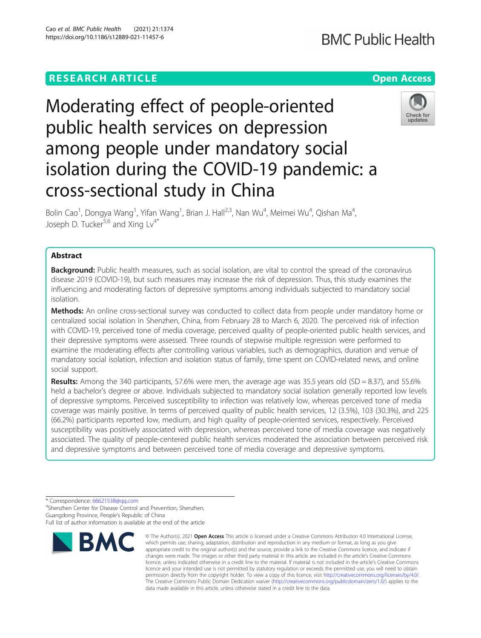# **RESEARCH ARTICLE Example 2014 12:30 The Contract of Contract ACCESS**

# Moderating effect of people-oriented public health services on depression among people under mandatory social isolation during the COVID-19 pandemic: a cross-sectional study in China

Bolin Cao<sup>1</sup>, Dongya Wang<sup>1</sup>, Yifan Wang<sup>1</sup>, Brian J. Hall<sup>2,3</sup>, Nan Wu<sup>4</sup>, Meimei Wu<sup>4</sup>, Qishan Ma<sup>4</sup> , Joseph D. Tucker $^{5,6}$  and Xing Lv<sup>4\*</sup>

# Abstract

**Background:** Public health measures, such as social isolation, are vital to control the spread of the coronavirus disease 2019 (COVID-19), but such measures may increase the risk of depression. Thus, this study examines the influencing and moderating factors of depressive symptoms among individuals subjected to mandatory social isolation.

Methods: An online cross-sectional survey was conducted to collect data from people under mandatory home or centralized social isolation in Shenzhen, China, from February 28 to March 6, 2020. The perceived risk of infection with COVID-19, perceived tone of media coverage, perceived quality of people-oriented public health services, and their depressive symptoms were assessed. Three rounds of stepwise multiple regression were performed to examine the moderating effects after controlling various variables, such as demographics, duration and venue of mandatory social isolation, infection and isolation status of family, time spent on COVID-related news, and online social support.

**Results:** Among the 340 participants, 57.6% were men, the average age was 35.5 years old (SD = 8.37), and 55.6% held a bachelor's degree or above. Individuals subjected to mandatory social isolation generally reported low levels of depressive symptoms. Perceived susceptibility to infection was relatively low, whereas perceived tone of media coverage was mainly positive. In terms of perceived quality of public health services, 12 (3.5%), 103 (30.3%), and 225 (66.2%) participants reported low, medium, and high quality of people-oriented services, respectively. Perceived susceptibility was positively associated with depression, whereas perceived tone of media coverage was negatively associated. The quality of people-centered public health services moderated the association between perceived risk and depressive symptoms and between perceived tone of media coverage and depressive symptoms.

\* Correspondence: [66621538@qq.com](mailto:66621538@qq.com) <sup>4</sup>

<sup>4</sup>Shenzhen Center for Disease Control and Prevention, Shenzhen, Guangdong Province, People's Republic of China

Full list of author information is available at the end of the article



<sup>©</sup> The Author(s), 2021 **Open Access** This article is licensed under a Creative Commons Attribution 4.0 International License, which permits use, sharing, adaptation, distribution and reproduction in any medium or format, as long as you give appropriate credit to the original author(s) and the source, provide a link to the Creative Commons licence, and indicate if changes were made. The images or other third party material in this article are included in the article's Creative Commons licence, unless indicated otherwise in a credit line to the material. If material is not included in the article's Creative Commons licence and your intended use is not permitted by statutory regulation or exceeds the permitted use, you will need to obtain permission directly from the copyright holder. To view a copy of this licence, visit [http://creativecommons.org/licenses/by/4.0/.](http://creativecommons.org/licenses/by/4.0/) The Creative Commons Public Domain Dedication waiver [\(http://creativecommons.org/publicdomain/zero/1.0/](http://creativecommons.org/publicdomain/zero/1.0/)) applies to the data made available in this article, unless otherwise stated in a credit line to the data.



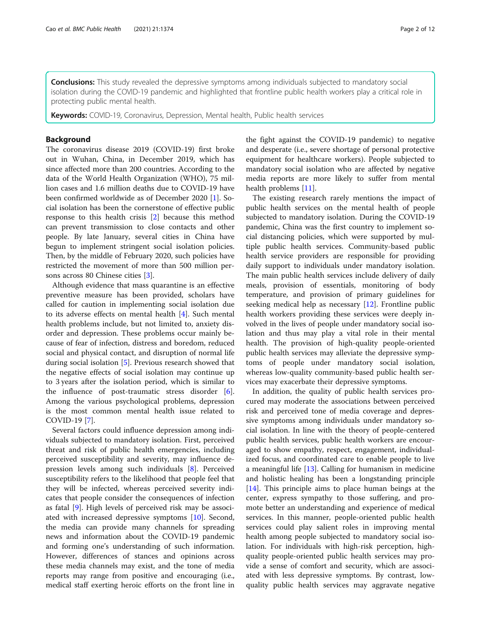**Conclusions:** This study revealed the depressive symptoms among individuals subjected to mandatory social isolation during the COVID-19 pandemic and highlighted that frontline public health workers play a critical role in protecting public mental health.

Keywords: COVID-19, Coronavirus, Depression, Mental health, Public health services

# Background

The coronavirus disease 2019 (COVID-19) first broke out in Wuhan, China, in December 2019, which has since affected more than 200 countries. According to the data of the World Health Organization (WHO), 75 million cases and 1.6 million deaths due to COVID-19 have been confirmed worldwide as of December 2020 [\[1](#page-10-0)]. Social isolation has been the cornerstone of effective public response to this health crisis [[2](#page-10-0)] because this method can prevent transmission to close contacts and other people. By late January, several cities in China have begun to implement stringent social isolation policies. Then, by the middle of February 2020, such policies have restricted the movement of more than 500 million persons across 80 Chinese cities [\[3\]](#page-10-0).

Although evidence that mass quarantine is an effective preventive measure has been provided, scholars have called for caution in implementing social isolation due to its adverse effects on mental health [[4](#page-10-0)]. Such mental health problems include, but not limited to, anxiety disorder and depression. These problems occur mainly because of fear of infection, distress and boredom, reduced social and physical contact, and disruption of normal life during social isolation [[5\]](#page-10-0). Previous research showed that the negative effects of social isolation may continue up to 3 years after the isolation period, which is similar to the influence of post-traumatic stress disorder [\[6](#page-10-0)]. Among the various psychological problems, depression is the most common mental health issue related to COVID-19 [[7\]](#page-10-0).

Several factors could influence depression among individuals subjected to mandatory isolation. First, perceived threat and risk of public health emergencies, including perceived susceptibility and severity, may influence depression levels among such individuals [[8](#page-10-0)]. Perceived susceptibility refers to the likelihood that people feel that they will be infected, whereas perceived severity indicates that people consider the consequences of infection as fatal [[9\]](#page-10-0). High levels of perceived risk may be associated with increased depressive symptoms [\[10](#page-10-0)]. Second, the media can provide many channels for spreading news and information about the COVID-19 pandemic and forming one's understanding of such information. However, differences of stances and opinions across these media channels may exist, and the tone of media reports may range from positive and encouraging (i.e., medical staff exerting heroic efforts on the front line in the fight against the COVID-19 pandemic) to negative and desperate (i.e., severe shortage of personal protective equipment for healthcare workers). People subjected to mandatory social isolation who are affected by negative media reports are more likely to suffer from mental health problems [[11\]](#page-10-0).

The existing research rarely mentions the impact of public health services on the mental health of people subjected to mandatory isolation. During the COVID-19 pandemic, China was the first country to implement social distancing policies, which were supported by multiple public health services. Community-based public health service providers are responsible for providing daily support to individuals under mandatory isolation. The main public health services include delivery of daily meals, provision of essentials, monitoring of body temperature, and provision of primary guidelines for seeking medical help as necessary [\[12](#page-10-0)]. Frontline public health workers providing these services were deeply involved in the lives of people under mandatory social isolation and thus may play a vital role in their mental health. The provision of high-quality people-oriented public health services may alleviate the depressive symptoms of people under mandatory social isolation, whereas low-quality community-based public health services may exacerbate their depressive symptoms.

In addition, the quality of public health services procured may moderate the associations between perceived risk and perceived tone of media coverage and depressive symptoms among individuals under mandatory social isolation. In line with the theory of people-centered public health services, public health workers are encouraged to show empathy, respect, engagement, individualized focus, and coordinated care to enable people to live a meaningful life [[13](#page-10-0)]. Calling for humanism in medicine and holistic healing has been a longstanding principle [[14\]](#page-10-0). This principle aims to place human beings at the center, express sympathy to those suffering, and promote better an understanding and experience of medical services. In this manner, people-oriented public health services could play salient roles in improving mental health among people subjected to mandatory social isolation. For individuals with high-risk perception, highquality people-oriented public health services may provide a sense of comfort and security, which are associated with less depressive symptoms. By contrast, lowquality public health services may aggravate negative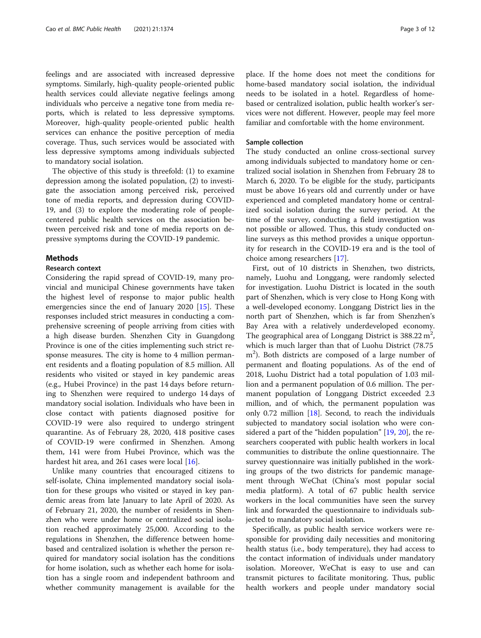feelings and are associated with increased depressive symptoms. Similarly, high-quality people-oriented public health services could alleviate negative feelings among individuals who perceive a negative tone from media reports, which is related to less depressive symptoms. Moreover, high-quality people-oriented public health services can enhance the positive perception of media coverage. Thus, such services would be associated with less depressive symptoms among individuals subjected to mandatory social isolation.

The objective of this study is threefold: (1) to examine depression among the isolated population, (2) to investigate the association among perceived risk, perceived tone of media reports, and depression during COVID-19, and (3) to explore the moderating role of peoplecentered public health services on the association between perceived risk and tone of media reports on depressive symptoms during the COVID-19 pandemic.

# **Methods**

#### Research context

Considering the rapid spread of COVID-19, many provincial and municipal Chinese governments have taken the highest level of response to major public health emergencies since the end of January 2020 [[15\]](#page-10-0). These responses included strict measures in conducting a comprehensive screening of people arriving from cities with a high disease burden. Shenzhen City in Guangdong Province is one of the cities implementing such strict response measures. The city is home to 4 million permanent residents and a floating population of 8.5 million. All residents who visited or stayed in key pandemic areas (e.g., Hubei Province) in the past 14 days before returning to Shenzhen were required to undergo 14 days of mandatory social isolation. Individuals who have been in close contact with patients diagnosed positive for COVID-19 were also required to undergo stringent quarantine. As of February 28, 2020, 418 positive cases of COVID-19 were confirmed in Shenzhen. Among them, 141 were from Hubei Province, which was the hardest hit area, and 261 cases were local [\[16](#page-10-0)].

Unlike many countries that encouraged citizens to self-isolate, China implemented mandatory social isolation for these groups who visited or stayed in key pandemic areas from late January to late April of 2020. As of February 21, 2020, the number of residents in Shenzhen who were under home or centralized social isolation reached approximately 25,000. According to the regulations in Shenzhen, the difference between homebased and centralized isolation is whether the person required for mandatory social isolation has the conditions for home isolation, such as whether each home for isolation has a single room and independent bathroom and whether community management is available for the

place. If the home does not meet the conditions for home-based mandatory social isolation, the individual needs to be isolated in a hotel. Regardless of homebased or centralized isolation, public health worker's services were not different. However, people may feel more familiar and comfortable with the home environment.

# Sample collection

The study conducted an online cross-sectional survey among individuals subjected to mandatory home or centralized social isolation in Shenzhen from February 28 to March 6, 2020. To be eligible for the study, participants must be above 16 years old and currently under or have experienced and completed mandatory home or centralized social isolation during the survey period. At the time of the survey, conducting a field investigation was not possible or allowed. Thus, this study conducted online surveys as this method provides a unique opportunity for research in the COVID-19 era and is the tool of choice among researchers [[17](#page-10-0)].

First, out of 10 districts in Shenzhen, two districts, namely, Luohu and Longgang, were randomly selected for investigation. Luohu District is located in the south part of Shenzhen, which is very close to Hong Kong with a well-developed economy. Longgang District lies in the north part of Shenzhen, which is far from Shenzhen's Bay Area with a relatively underdeveloped economy. The geographical area of Longgang District is  $388.22 \text{ m}^2$ , which is much larger than that of Luohu District (78.75 m<sup>2</sup>). Both districts are composed of a large number of permanent and floating populations. As of the end of 2018, Luohu District had a total population of 1.03 million and a permanent population of 0.6 million. The permanent population of Longgang District exceeded 2.3 million, and of which, the permanent population was only 0.72 million [[18](#page-10-0)]. Second, to reach the individuals subjected to mandatory social isolation who were considered a part of the "hidden population" [\[19](#page-10-0), [20\]](#page-10-0), the researchers cooperated with public health workers in local communities to distribute the online questionnaire. The survey questionnaire was initially published in the working groups of the two districts for pandemic management through WeChat (China's most popular social media platform). A total of 67 public health service workers in the local communities have seen the survey link and forwarded the questionnaire to individuals subjected to mandatory social isolation.

Specifically, as public health service workers were responsible for providing daily necessities and monitoring health status (i.e., body temperature), they had access to the contact information of individuals under mandatory isolation. Moreover, WeChat is easy to use and can transmit pictures to facilitate monitoring. Thus, public health workers and people under mandatory social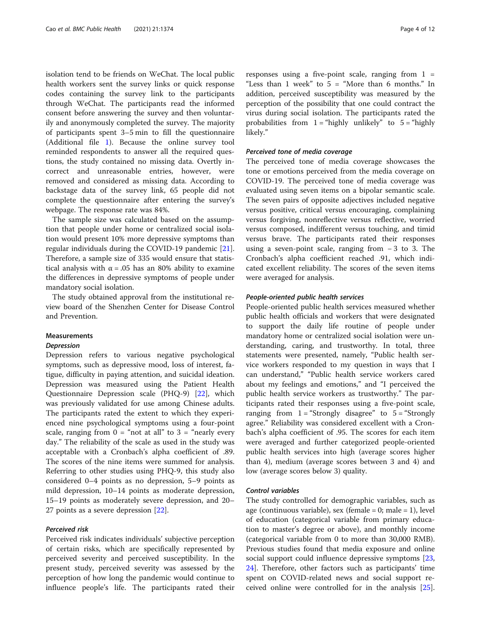isolation tend to be friends on WeChat. The local public health workers sent the survey links or quick response codes containing the survey link to the participants through WeChat. The participants read the informed consent before answering the survey and then voluntarily and anonymously completed the survey. The majority of participants spent 3–5 min to fill the questionnaire (Additional file [1](#page-9-0)). Because the online survey tool reminded respondents to answer all the required questions, the study contained no missing data. Overtly incorrect and unreasonable entries, however, were removed and considered as missing data. According to backstage data of the survey link, 65 people did not complete the questionnaire after entering the survey's webpage. The response rate was 84%.

The sample size was calculated based on the assumption that people under home or centralized social isolation would present 10% more depressive symptoms than regular individuals during the COVID-19 pandemic [\[21](#page-10-0)]. Therefore, a sample size of 335 would ensure that statistical analysis with  $\alpha = .05$  has an 80% ability to examine the differences in depressive symptoms of people under mandatory social isolation.

The study obtained approval from the institutional review board of the Shenzhen Center for Disease Control and Prevention.

#### Measurements

# Depression

Depression refers to various negative psychological symptoms, such as depressive mood, loss of interest, fatigue, difficulty in paying attention, and suicidal ideation. Depression was measured using the Patient Health Questionnaire Depression scale (PHQ-9) [\[22](#page-10-0)], which was previously validated for use among Chinese adults. The participants rated the extent to which they experienced nine psychological symptoms using a four-point scale, ranging from  $0 = \text{``not at all''}$  to  $3 = \text{``nearly every}$ day." The reliability of the scale as used in the study was acceptable with a Cronbach's alpha coefficient of .89. The scores of the nine items were summed for analysis. Referring to other studies using PHQ-9, this study also considered 0–4 points as no depression, 5–9 points as mild depression, 10–14 points as moderate depression, 15–19 points as moderately severe depression, and 20– 27 points as a severe depression [[22\]](#page-10-0).

#### Perceived risk

Perceived risk indicates individuals' subjective perception of certain risks, which are specifically represented by perceived severity and perceived susceptibility. In the present study, perceived severity was assessed by the perception of how long the pandemic would continue to influence people's life. The participants rated their

responses using a five-point scale, ranging from  $1 =$ "Less than 1 week" to 5 = "More than 6 months." In addition, perceived susceptibility was measured by the perception of the possibility that one could contract the virus during social isolation. The participants rated the probabilities from  $1 =$  "highly unlikely" to  $5 =$  "highly" likely."

#### Perceived tone of media coverage

The perceived tone of media coverage showcases the tone or emotions perceived from the media coverage on COVID-19. The perceived tone of media coverage was evaluated using seven items on a bipolar semantic scale. The seven pairs of opposite adjectives included negative versus positive, critical versus encouraging, complaining versus forgiving, nonreflective versus reflective, worried versus composed, indifferent versus touching, and timid versus brave. The participants rated their responses using a seven-point scale, ranging from − 3 to 3. The Cronbach's alpha coefficient reached .91, which indicated excellent reliability. The scores of the seven items were averaged for analysis.

#### People-oriented public health services

People-oriented public health services measured whether public health officials and workers that were designated to support the daily life routine of people under mandatory home or centralized social isolation were understanding, caring, and trustworthy. In total, three statements were presented, namely, "Public health service workers responded to my question in ways that I can understand," "Public health service workers cared about my feelings and emotions," and "I perceived the public health service workers as trustworthy." The participants rated their responses using a five-point scale, ranging from  $1 =$  "Strongly disagree" to  $5 =$  "Strongly agree." Reliability was considered excellent with a Cronbach's alpha coefficient of .95. The scores for each item were averaged and further categorized people-oriented public health services into high (average scores higher than 4), medium (average scores between 3 and 4) and low (average scores below 3) quality.

#### Control variables

The study controlled for demographic variables, such as age (continuous variable), sex (female  $= 0$ ; male  $= 1$ ), level of education (categorical variable from primary education to master's degree or above), and monthly income (categorical variable from 0 to more than 30,000 RMB). Previous studies found that media exposure and online social support could influence depressive symptoms [[23](#page-10-0), [24\]](#page-10-0). Therefore, other factors such as participants' time spent on COVID-related news and social support received online were controlled for in the analysis [\[25](#page-10-0)].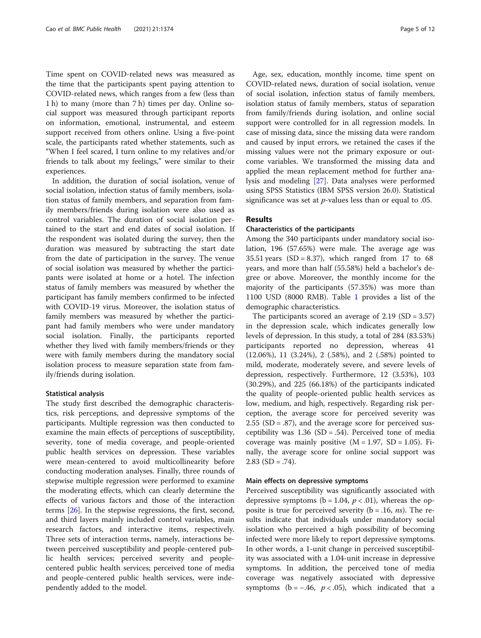Time spent on COVID-related news was measured as the time that the participants spent paying attention to COVID-related news, which ranges from a few (less than 1 h) to many (more than 7 h) times per day. Online social support was measured through participant reports on information, emotional, instrumental, and esteem support received from others online. Using a five-point scale, the participants rated whether statements, such as "When I feel scared, I turn online to my relatives and/or friends to talk about my feelings," were similar to their experiences.

In addition, the duration of social isolation, venue of social isolation, infection status of family members, isolation status of family members, and separation from family members/friends during isolation were also used as control variables. The duration of social isolation pertained to the start and end dates of social isolation. If the respondent was isolated during the survey, then the duration was measured by subtracting the start date from the date of participation in the survey. The venue of social isolation was measured by whether the participants were isolated at home or a hotel. The infection status of family members was measured by whether the participant has family members confirmed to be infected with COVID-19 virus. Moreover, the isolation status of family members was measured by whether the participant had family members who were under mandatory social isolation. Finally, the participants reported whether they lived with family members/friends or they were with family members during the mandatory social isolation process to measure separation state from family/friends during isolation.

## Statistical analysis

The study first described the demographic characteristics, risk perceptions, and depressive symptoms of the participants. Multiple regression was then conducted to examine the main effects of perceptions of susceptibility, severity, tone of media coverage, and people-oriented public health services on depression. These variables were mean-centered to avoid multicollinearity before conducting moderation analyses. Finally, three rounds of stepwise multiple regression were performed to examine the moderating effects, which can clearly determine the effects of various factors and those of the interaction terms [[26](#page-10-0)]. In the stepwise regressions, the first, second, and third layers mainly included control variables, main research factors, and interactive items, respectively. Three sets of interaction terms, namely, interactions between perceived susceptibility and people-centered public health services; perceived severity and peoplecentered public health services; perceived tone of media and people-centered public health services, were independently added to the model.

Age, sex, education, monthly income, time spent on COVID-related news, duration of social isolation, venue of social isolation, infection status of family members, isolation status of family members, status of separation from family/friends during isolation, and online social support were controlled for in all regression models. In case of missing data, since the missing data were random and caused by input errors, we retained the cases if the missing values were not the primary exposure or outcome variables. We transformed the missing data and applied the mean replacement method for further analysis and modeling [\[27](#page-10-0)]. Data analyses were performed using SPSS Statistics (IBM SPSS version 26.0). Statistical significance was set at  $p$ -values less than or equal to .05.

# Results

# Characteristics of the participants

Among the 340 participants under mandatory social isolation, 196 (57.65%) were male. The average age was 35.51 years (SD = 8.37), which ranged from 17 to 68 years, and more than half (55.58%) held a bachelor's degree or above. Moreover, the monthly income for the majority of the participants (57.35%) was more than 1100 USD (8000 RMB). Table [1](#page-5-0) provides a list of the demographic characteristics.

The participants scored an average of  $2.19$  (SD =  $3.57$ ) in the depression scale, which indicates generally low levels of depression. In this study, a total of 284 (83.53%) participants reported no depression, whereas 41 (12.06%), 11 (3.24%), 2 (.58%), and 2 (.58%) pointed to mild, moderate, moderately severe, and severe levels of depression, respectively. Furthermore, 12 (3.53%), 103 (30.29%), and 225 (66.18%) of the participants indicated the quality of people-oriented public health services as low, medium, and high, respectively. Regarding risk perception, the average score for perceived severity was  $2.55$  (SD = .87), and the average score for perceived susceptibility was  $1.36$  (SD = .54). Perceived tone of media coverage was mainly positive  $(M = 1.97, SD = 1.05)$ . Finally, the average score for online social support was 2.83 (SD = .74).

### Main effects on depressive symptoms

Perceived susceptibility was significantly associated with depressive symptoms ( $b = 1.04$ ,  $p < .01$ ), whereas the opposite is true for perceived severity ( $b = .16$ , *ns*). The results indicate that individuals under mandatory social isolation who perceived a high possibility of becoming infected were more likely to report depressive symptoms. In other words, a 1-unit change in perceived susceptibility was associated with a 1.04-unit increase in depressive symptoms. In addition, the perceived tone of media coverage was negatively associated with depressive symptoms ( $b = -.46$ ,  $p < .05$ ), which indicated that a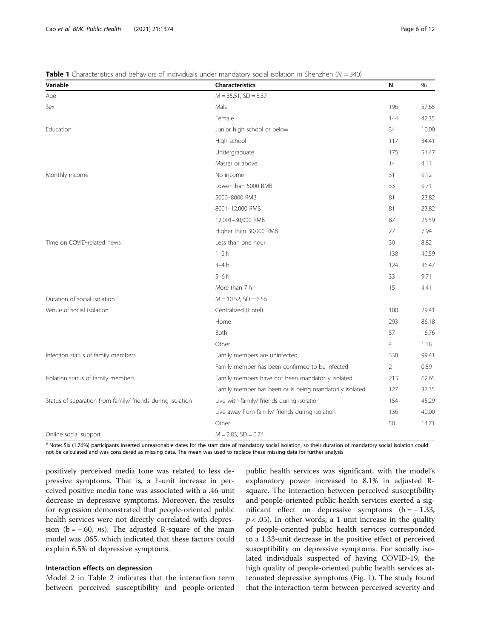| Variable                                                   | Characteristics                                         | N              | %     |
|------------------------------------------------------------|---------------------------------------------------------|----------------|-------|
| Age                                                        | $M = 35.51$ , $SD = 8.37$                               |                |       |
| Sex                                                        | Male                                                    | 196            | 57.65 |
|                                                            | Female                                                  | 144            | 42.35 |
| Education                                                  | Junior high school or below                             | 34             | 10.00 |
|                                                            | High school                                             | 117            | 34.41 |
|                                                            | Undergraduate                                           | 175            | 51.47 |
|                                                            | Master or above                                         | 14             | 4.11  |
| Monthly income                                             | No income                                               | 31             | 9.12  |
|                                                            | Lower than 5000 RMB                                     | 33             | 9.71  |
|                                                            | 5000-8000 RMB                                           | 81             | 23.82 |
|                                                            | 8001-12,000 RMB                                         | 81             | 23.82 |
|                                                            | 12,001-30,000 RMB                                       | 87             | 25.59 |
|                                                            | Higher than 30,000 RMB                                  | 27             | 7.94  |
| Time on COVID-related news                                 | Less than one hour                                      | 30             | 8.82  |
|                                                            | $1-2h$                                                  | 138            | 40.59 |
|                                                            | $3-4h$                                                  | 124            | 36.47 |
|                                                            | $5-6h$                                                  | 33             | 9.71  |
|                                                            | More than 7h                                            | 15             | 4.41  |
| Duration of social isolation <sup>a</sup>                  | $M = 10.52$ , $SD = 6.56$                               |                |       |
| Venue of social isolation                                  | Centralized (Hotel)                                     | 100            | 29.41 |
|                                                            | Home                                                    | 293            | 86.18 |
|                                                            | <b>Both</b>                                             | 57             | 16.76 |
|                                                            | Other                                                   | $\overline{4}$ | 1.18  |
| Infection status of family members                         | Family members are uninfected                           | 338            | 99.41 |
|                                                            | Family member has been confirmed to be infected         | 2              | 0.59  |
| Isolation status of family members                         | Family members have not been mandatorily isolated       | 213            | 62.65 |
|                                                            | Family member has been or is being mandatorily isolated | 127            | 37.35 |
| Status of separation from family/ friends during isolation | Live with family/ friends during isolation              | 154            | 45.29 |
|                                                            | Live away from family/ friends during isolation         | 136            | 40.00 |
|                                                            | Other                                                   | 50             | 14.71 |
| Online social support                                      | $M = 2.83$ , $SD = 0.74$                                |                |       |

<span id="page-5-0"></span>**Table 1** Characteristics and behaviors of individuals under mandatory social isolation in Shenzhen ( $N = 340$ )

a Note: Six (1.76%) participants inserted unreasonable dates for the start date of mandatory social isolation, so their duration of mandatory social isolation could not be calculated and was considered as missing data. The mean was used to replace these missing data for further analysis

positively perceived media tone was related to less depressive symptoms. That is, a 1-unit increase in perceived positive media tone was associated with a .46-unit decrease in depressive symptoms. Moreover, the results for regression demonstrated that people-oriented public health services were not directly correlated with depression ( $b = -.60$ , *ns*). The adjusted R-square of the main model was .065, which indicated that these factors could explain 6.5% of depressive symptoms.

# Interaction effects on depression

Model 2 in Table [2](#page-6-0) indicates that the interaction term between perceived susceptibility and people-oriented

public health services was significant, with the model's explanatory power increased to 8.1% in adjusted Rsquare. The interaction between perceived susceptibility and people-oriented public health services exerted a significant effect on depressive symptoms  $(b = -1.33)$ ,  $p < .05$ ). In other words, a 1-unit increase in the quality of people-oriented public health services corresponded to a 1.33-unit decrease in the positive effect of perceived susceptibility on depressive symptoms. For socially isolated individuals suspected of having COVID-19, the high quality of people-oriented public health services attenuated depressive symptoms (Fig. [1\)](#page-6-0). The study found that the interaction term between perceived severity and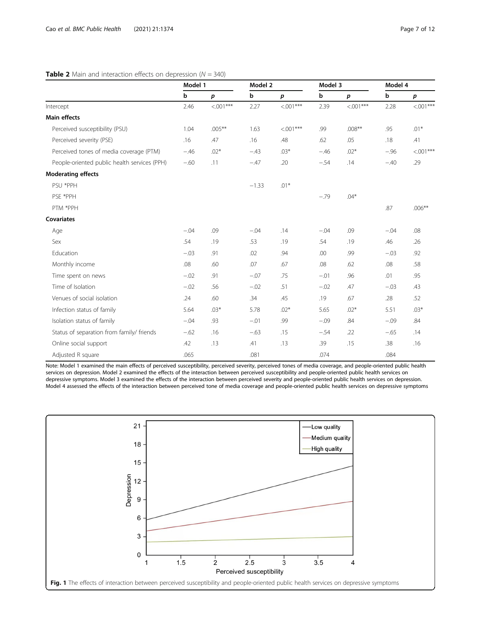# <span id="page-6-0"></span>**Table 2** Main and interaction effects on depression ( $N = 340$ )

|                                              | Model 1 |                  | Model 2 |                  | Model 3 |                  | Model 4     |             |
|----------------------------------------------|---------|------------------|---------|------------------|---------|------------------|-------------|-------------|
|                                              | b       | $\boldsymbol{p}$ | b       | $\boldsymbol{p}$ | b       | $\boldsymbol{p}$ | $\mathbf b$ | p           |
| Intercept                                    | 2.46    | $< 0.01***$      | 2.27    | $< 0.01***$      | 2.39    | $< 001***$       | 2.28        | $< 0.01***$ |
| Main effects                                 |         |                  |         |                  |         |                  |             |             |
| Perceived susceptibility (PSU)               | 1.04    | $.005***$        | 1.63    | $< 0.01***$      | .99     | $.008**$         | .95         | $.01*$      |
| Perceived severity (PSE)                     | .16     | .47              | .16     | .48              | .62     | .05              | .18         | .41         |
| Perceived tones of media coverage (PTM)      | $-.46$  | $.02*$           | $-.43$  | $.03*$           | $-.46$  | $.02*$           | $-.96$      | $< 0.01***$ |
| People-oriented public health services (PPH) | $-.60$  | .11              | $-.47$  | .20              | $-.54$  | .14              | $-.40$      | .29         |
| <b>Moderating effects</b>                    |         |                  |         |                  |         |                  |             |             |
| PSU *PPH                                     |         |                  | $-1.33$ | $.01*$           |         |                  |             |             |
| PSE *PPH                                     |         |                  |         |                  | $-.79$  | $.04*$           |             |             |
| PTM *PPH                                     |         |                  |         |                  |         |                  | .87         | $.006***$   |
| <b>Covariates</b>                            |         |                  |         |                  |         |                  |             |             |
| Age                                          | $-.04$  | .09              | $-.04$  | .14              | $-.04$  | .09              | $-.04$      | .08         |
| Sex                                          | .54     | .19              | .53     | .19              | .54     | .19              | .46         | .26         |
| Education                                    | $-.03$  | .91              | .02     | .94              | .00     | .99              | $-.03$      | .92         |
| Monthly income                               | .08     | .60              | .07     | .67              | .08     | .62              | .08         | .58         |
| Time spent on news                           | $-.02$  | .91              | $-.07$  | .75              | $-.01$  | .96              | .01         | .95         |
| Time of Isolation                            | $-.02$  | .56              | $-.02$  | .51              | $-.02$  | .47              | $-.03$      | .43         |
| Venues of social isolation                   | .24     | .60              | .34     | .45              | .19     | .67              | .28         | .52         |
| Infection status of family                   | 5.64    | $.03*$           | 5.78    | $.02*$           | 5.65    | $.02*$           | 5.51        | $.03*$      |
| Isolation status of family                   | $-.04$  | .93              | $-.01$  | .99              | $-.09$  | .84              | $-.09$      | .84         |
| Status of separation from family/ friends    | $-.62$  | .16              | $-.63$  | .15              | $-.54$  | .22              | $-.65$      | .14         |
| Online social support                        | .42     | .13              | .41     | .13              | .39     | .15              | .38         | .16         |
| Adjusted R square                            | .065    |                  | .081    |                  | .074    |                  | .084        |             |

Note: Model 1 examined the main effects of perceived susceptibility, perceived severity, perceived tones of media coverage, and people-oriented public health services on depression. Model 2 examined the effects of the interaction between perceived susceptibility and people-oriented public health services on depressive symptoms. Model 3 examined the effects of the interaction between perceived severity and people-oriented public health services on depression. Model 4 assessed the effects of the interaction between perceived tone of media coverage and people-oriented public health services on depressive symptoms

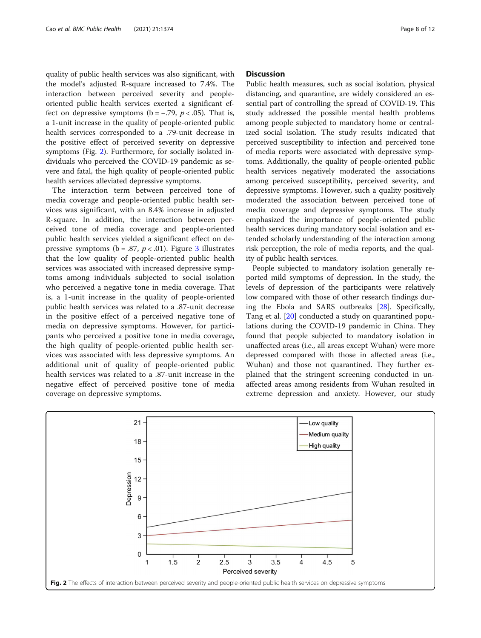quality of public health services was also significant, with the model's adjusted R-square increased to 7.4%. The interaction between perceived severity and peopleoriented public health services exerted a significant effect on depressive symptoms ( $b = -.79$ ,  $p < .05$ ). That is, a 1-unit increase in the quality of people-oriented public health services corresponded to a .79-unit decrease in the positive effect of perceived severity on depressive symptoms (Fig. 2). Furthermore, for socially isolated individuals who perceived the COVID-19 pandemic as severe and fatal, the high quality of people-oriented public health services alleviated depressive symptoms.

The interaction term between perceived tone of media coverage and people-oriented public health services was significant, with an 8.4% increase in adjusted R-square. In addition, the interaction between perceived tone of media coverage and people-oriented public health services yielded a significant effect on depressive symptoms ( $b = .87$ ,  $p < .01$ ). Figure [3](#page-8-0) illustrates that the low quality of people-oriented public health services was associated with increased depressive symptoms among individuals subjected to social isolation who perceived a negative tone in media coverage. That is, a 1-unit increase in the quality of people-oriented public health services was related to a .87-unit decrease in the positive effect of a perceived negative tone of media on depressive symptoms. However, for participants who perceived a positive tone in media coverage, the high quality of people-oriented public health services was associated with less depressive symptoms. An additional unit of quality of people-oriented public health services was related to a .87-unit increase in the negative effect of perceived positive tone of media coverage on depressive symptoms.

# **Discussion**

Public health measures, such as social isolation, physical distancing, and quarantine, are widely considered an essential part of controlling the spread of COVID-19. This study addressed the possible mental health problems among people subjected to mandatory home or centralized social isolation. The study results indicated that perceived susceptibility to infection and perceived tone of media reports were associated with depressive symptoms. Additionally, the quality of people-oriented public health services negatively moderated the associations among perceived susceptibility, perceived severity, and depressive symptoms. However, such a quality positively moderated the association between perceived tone of media coverage and depressive symptoms. The study emphasized the importance of people-oriented public health services during mandatory social isolation and extended scholarly understanding of the interaction among risk perception, the role of media reports, and the quality of public health services.

People subjected to mandatory isolation generally reported mild symptoms of depression. In the study, the levels of depression of the participants were relatively low compared with those of other research findings during the Ebola and SARS outbreaks [[28\]](#page-10-0). Specifically, Tang et al. [[20](#page-10-0)] conducted a study on quarantined populations during the COVID-19 pandemic in China. They found that people subjected to mandatory isolation in unaffected areas (i.e., all areas except Wuhan) were more depressed compared with those in affected areas (i.e., Wuhan) and those not quarantined. They further explained that the stringent screening conducted in unaffected areas among residents from Wuhan resulted in extreme depression and anxiety. However, our study

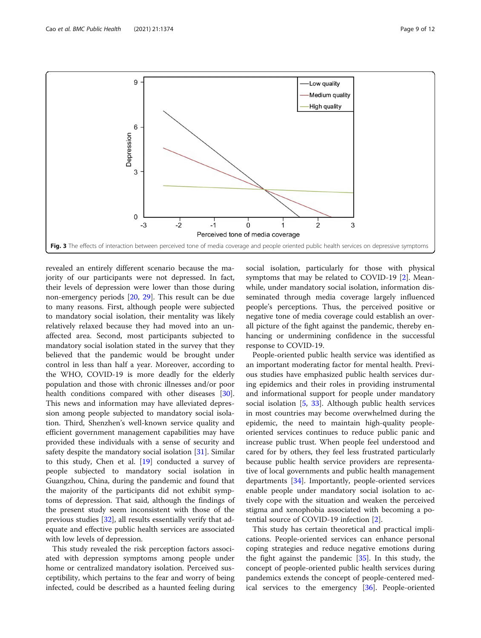<span id="page-8-0"></span>

revealed an entirely different scenario because the majority of our participants were not depressed. In fact, their levels of depression were lower than those during non-emergency periods [[20,](#page-10-0) [29\]](#page-10-0). This result can be due to many reasons. First, although people were subjected to mandatory social isolation, their mentality was likely relatively relaxed because they had moved into an unaffected area. Second, most participants subjected to mandatory social isolation stated in the survey that they believed that the pandemic would be brought under control in less than half a year. Moreover, according to the WHO, COVID-19 is more deadly for the elderly population and those with chronic illnesses and/or poor health conditions compared with other diseases [\[30](#page-10-0)]. This news and information may have alleviated depression among people subjected to mandatory social isolation. Third, Shenzhen's well-known service quality and efficient government management capabilities may have provided these individuals with a sense of security and safety despite the mandatory social isolation [[31](#page-10-0)]. Similar to this study, Chen et al. [\[19\]](#page-10-0) conducted a survey of people subjected to mandatory social isolation in Guangzhou, China, during the pandemic and found that the majority of the participants did not exhibit symptoms of depression. That said, although the findings of the present study seem inconsistent with those of the previous studies [[32](#page-10-0)], all results essentially verify that adequate and effective public health services are associated with low levels of depression.

This study revealed the risk perception factors associated with depression symptoms among people under home or centralized mandatory isolation. Perceived susceptibility, which pertains to the fear and worry of being infected, could be described as a haunted feeling during

social isolation, particularly for those with physical symptoms that may be related to COVID-19 [[2\]](#page-10-0). Meanwhile, under mandatory social isolation, information disseminated through media coverage largely influenced people's perceptions. Thus, the perceived positive or negative tone of media coverage could establish an overall picture of the fight against the pandemic, thereby enhancing or undermining confidence in the successful response to COVID-19.

People-oriented public health service was identified as an important moderating factor for mental health. Previous studies have emphasized public health services during epidemics and their roles in providing instrumental and informational support for people under mandatory social isolation [\[5](#page-10-0), [33](#page-10-0)]. Although public health services in most countries may become overwhelmed during the epidemic, the need to maintain high-quality peopleoriented services continues to reduce public panic and increase public trust. When people feel understood and cared for by others, they feel less frustrated particularly because public health service providers are representative of local governments and public health management departments [\[34](#page-10-0)]. Importantly, people-oriented services enable people under mandatory social isolation to actively cope with the situation and weaken the perceived stigma and xenophobia associated with becoming a potential source of COVID-19 infection [[2\]](#page-10-0).

This study has certain theoretical and practical implications. People-oriented services can enhance personal coping strategies and reduce negative emotions during the fight against the pandemic [\[35\]](#page-10-0). In this study, the concept of people-oriented public health services during pandemics extends the concept of people-centered medical services to the emergency [[36\]](#page-11-0). People-oriented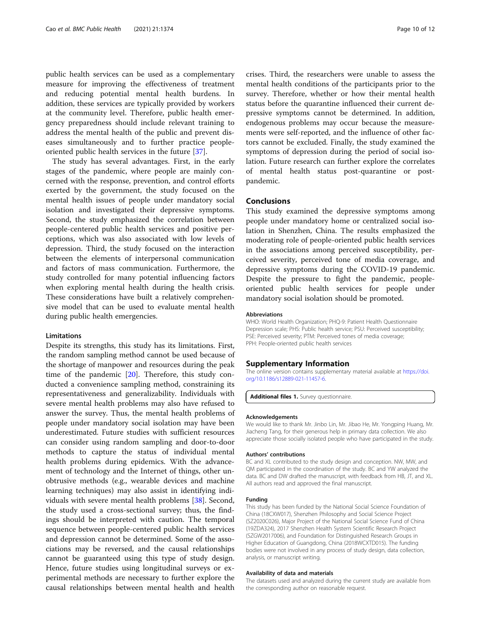<span id="page-9-0"></span>public health services can be used as a complementary measure for improving the effectiveness of treatment and reducing potential mental health burdens. In addition, these services are typically provided by workers at the community level. Therefore, public health emergency preparedness should include relevant training to address the mental health of the public and prevent diseases simultaneously and to further practice peopleoriented public health services in the future [[37\]](#page-11-0).

The study has several advantages. First, in the early stages of the pandemic, where people are mainly concerned with the response, prevention, and control efforts exerted by the government, the study focused on the mental health issues of people under mandatory social isolation and investigated their depressive symptoms. Second, the study emphasized the correlation between people-centered public health services and positive perceptions, which was also associated with low levels of depression. Third, the study focused on the interaction between the elements of interpersonal communication and factors of mass communication. Furthermore, the study controlled for many potential influencing factors when exploring mental health during the health crisis. These considerations have built a relatively comprehensive model that can be used to evaluate mental health during public health emergencies.

### Limitations

Despite its strengths, this study has its limitations. First, the random sampling method cannot be used because of the shortage of manpower and resources during the peak time of the pandemic [\[20](#page-10-0)]. Therefore, this study conducted a convenience sampling method, constraining its representativeness and generalizability. Individuals with severe mental health problems may also have refused to answer the survey. Thus, the mental health problems of people under mandatory social isolation may have been underestimated. Future studies with sufficient resources can consider using random sampling and door-to-door methods to capture the status of individual mental health problems during epidemics. With the advancement of technology and the Internet of things, other unobtrusive methods (e.g., wearable devices and machine learning techniques) may also assist in identifying individuals with severe mental health problems [[38\]](#page-11-0). Second, the study used a cross-sectional survey; thus, the findings should be interpreted with caution. The temporal sequence between people-centered public health services and depression cannot be determined. Some of the associations may be reversed, and the causal relationships cannot be guaranteed using this type of study design. Hence, future studies using longitudinal surveys or experimental methods are necessary to further explore the causal relationships between mental health and health

crises. Third, the researchers were unable to assess the mental health conditions of the participants prior to the survey. Therefore, whether or how their mental health status before the quarantine influenced their current depressive symptoms cannot be determined. In addition, endogenous problems may occur because the measurements were self-reported, and the influence of other factors cannot be excluded. Finally, the study examined the symptoms of depression during the period of social isolation. Future research can further explore the correlates of mental health status post-quarantine or postpandemic.

# Conclusions

This study examined the depressive symptoms among people under mandatory home or centralized social isolation in Shenzhen, China. The results emphasized the moderating role of people-oriented public health services in the associations among perceived susceptibility, perceived severity, perceived tone of media coverage, and depressive symptoms during the COVID-19 pandemic. Despite the pressure to fight the pandemic, peopleoriented public health services for people under mandatory social isolation should be promoted.

#### Abbreviations

WHO: World Health Organization; PHQ-9: Patient Health Questionnaire Depression scale; PHS: Public health service; PSU: Perceived susceptibility; PSE: Perceived severity; PTM: Perceived tones of media coverage; PPH: People-oriented public health services

# Supplementary Information

The online version contains supplementary material available at [https://doi.](https://doi.org/10.1186/s12889-021-11457-6) [org/10.1186/s12889-021-11457-6.](https://doi.org/10.1186/s12889-021-11457-6)

Additional files 1. Survey questionnaire

#### Acknowledgements

We would like to thank Mr. Jinbo Lin, Mr. Jibao He, Mr. Yongping Huang, Mr. Jiacheng Tang, for their generous help in primary data collection. We also appreciate those socially isolated people who have participated in the study.

#### Authors' contributions

BC and XL contributed to the study design and conception. NW, MW, and QM participated in the coordination of the study. BC and YW analyzed the data. BC and DW drafted the manuscript, with feedback from HB, JT, and XL. All authors read and approved the final manuscript.

#### Funding

This study has been funded by the National Social Science Foundation of China (18CXW017), Shenzhen Philosophy and Social Science Project (SZ2020C026), Major Project of the National Social Science Fund of China (19ZDA324), 2017 Shenzhen Health System Scientific Research Project (SZGW2017006), and Foundation for Distinguished Research Groups in Higher Education of Guangdong, China (2018WCXTD015). The funding bodies were not involved in any process of study design, data collection, analysis, or manuscript writing.

#### Availability of data and materials

The datasets used and analyzed during the current study are available from the corresponding author on reasonable request.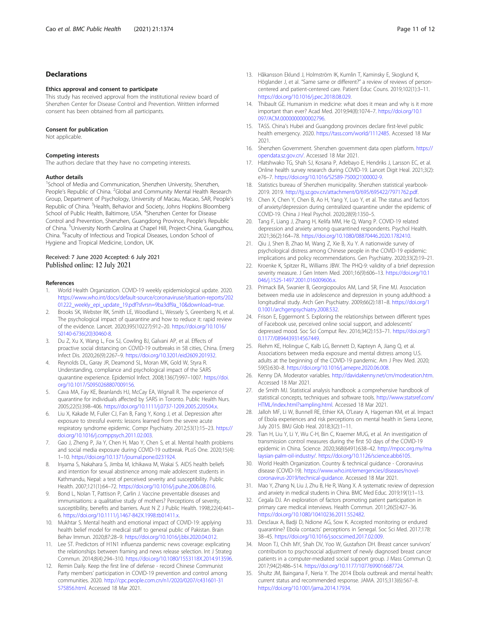# <span id="page-10-0"></span>Declarations

#### Ethics approval and consent to participate

This study has received approval from the institutional review board of Shenzhen Center for Disease Control and Prevention. Written informed consent has been obtained from all participants.

#### Consent for publication

Not applicable.

#### Competing interests

The authors declare that they have no competing interests.

#### Author details

<sup>1</sup>School of Media and Communication, Shenzhen University, Shenzhen, People's Republic of China. <sup>2</sup>Global and Community Mental Health Research Group, Department of Psychology, University of Macau, Macao, SAR, People's Republic of China. <sup>3</sup> Health, Behavior and Society, Johns Hopkins Bloomberg School of Public Health, Baltimore, USA. <sup>4</sup>Shenzhen Center for Disease Control and Prevention, Shenzhen, Guangdong Province, People's Republic of China. <sup>5</sup>University North Carolina at Chapel Hill, Project-China, Guangzhou, China. <sup>6</sup> Faculty of Infectious and Tropical Diseases, London School of Hygiene and Tropical Medicine, London, UK.

### Received: 7 June 2020 Accepted: 6 July 2021 Published online: 12 July 2021

#### References

- 1. World Health Organization. COVID-19 weekly epidemiological update. 2020. [https://www.who.int/docs/default-source/coronaviruse/situation-reports/202](https://www.who.int/docs/default-source/coronaviruse/situation-reports/20201222_weekly_epi_update_19.pdf?sfvrsn=9ba3df9a_10&download=true) [01222\\_weekly\\_epi\\_update\\_19.pdf?sfvrsn=9ba3df9a\\_10&download=true.](https://www.who.int/docs/default-source/coronaviruse/situation-reports/20201222_weekly_epi_update_19.pdf?sfvrsn=9ba3df9a_10&download=true)
- Brooks SK, Webster RK, Smith LE, Woodland L, Wessely S, Greenberg N, et al. The psychological impact of quarantine and how to reduce it: rapid review of the evidence. Lancet. 2020;395(10227):912–20. [https://doi.org/10.1016/](https://doi.org/10.1016/S0140-6736(20)30460-8) [S0140-6736\(20\)30460-8](https://doi.org/10.1016/S0140-6736(20)30460-8).
- 3. Du Z, Xu X, Wang L, Fox SJ, Cowling BJ, Galvani AP, et al. Effects of proactive social distancing on COVID-19 outbreaks in 58 cities, China. Emerg Infect Dis. 2020;26(9):2267–9. [https://doi.org/10.3201/eid2609.201932.](https://doi.org/10.3201/eid2609.201932)
- 4. Reynolds DL, Garay JR, Deamond SL, Moran MK, Gold W, Styra R. Understanding, compliance and psychological impact of the SARS quarantine experience. Epidemiol Infect. 2008;136(7):997–1007. [https://doi.](https://doi.org/10.1017/S0950268807009156) [org/10.1017/S0950268807009156.](https://doi.org/10.1017/S0950268807009156)
- 5. Cava MA, Fay KE, Beanlands HJ, McCay EA, Wignall R. The experience of quarantine for individuals affected by SARS in Toronto. Public Health Nurs. 2005;22(5):398–406. <https://doi.org/10.1111/j.0737-1209.2005.220504.x>.
- 6. Liu X, Kakade M, Fuller CJ, Fan B, Fang Y, Kong J, et al. Depression after exposure to stressful events: lessons learned from the severe acute respiratory syndrome epidemic. Compr Psychiatry. 2012;53(1):15–23. [https://](https://doi.org/10.1016/j.comppsych.2011.02.003) [doi.org/10.1016/j.comppsych.2011.02.003](https://doi.org/10.1016/j.comppsych.2011.02.003).
- 7. Gao J, Zheng P, Jia Y, Chen H, Mao Y, Chen S, et al. Mental health problems and social media exposure during COVID-19 outbreak. PLoS One. 2020;15(4): 1–10. [https://doi.org/10.1371/journal.pone.0231924.](https://doi.org/10.1371/journal.pone.0231924)
- Iriyama S, Nakahara S, Jimba M, Ichikawa M, Wakai S. AIDS health beliefs and intention for sexual abstinence among male adolescent students in Kathmandu, Nepal: a test of perceived severity and susceptibility. Public Health. 2007;121(1):64–72. <https://doi.org/10.1016/j.puhe.2006.08.016>.
- Bond L, Nolan T, Pattison P, Carlin J. Vaccine preventable diseases and immunisations: a qualitative study of mothers? Perceptions of severity, susceptibility, benefits and barriers. Aust N Z J Public Health. 1998;22(4):441– 6. <https://doi.org/10.1111/j.1467-842X.1998.tb01411.x>.
- 10. Mukhtar S. Mental health and emotional impact of COVID-19: applying health belief model for medical staff to general public of Pakistan. Brain Behav Immun. 2020;87:28–9. <https://doi.org/10.1016/j.bbi.2020.04.012>.
- 11. Lee ST. Predictors of H1N1 influenza pandemic news coverage: explicating the relationships between framing and news release selection. Int J Strateg Commun. 2014;8(4):294–310. <https://doi.org/10.1080/1553118X.2014.913596>.
- 12. Remin Daily. Keep the first line of defense record Chinese Communist Party members' participation in COVID-19 prevention and control among communities. 2020. [http://cpc.people.com.cn/n1/2020/0207/c431601-31](http://cpc.people.com.cn/n1/2020/0207/c431601-31575856.html) [575856.html.](http://cpc.people.com.cn/n1/2020/0207/c431601-31575856.html) Accessed 18 Mar 2021.
- 13. Håkansson Eklund J, Holmström IK, Kumlin T, Kaminsky E, Skoglund K, Höglander J, et al. "Same same or different?" a review of reviews of personcentered and patient-centered care. Patient Educ Couns. 2019;102(1):3–11. <https://doi.org/10.1016/j.pec.2018.08.029>.
- 14. Thibault GE. Humanism in medicine: what does it mean and why is it more important than ever? Acad Med. 2019;94(8):1074–7. [https://doi.org/10.1](https://doi.org/10.1097/ACM.0000000000002796) 097/ACM.00000000000002796.
- 15. TASS. China's Hubei and Guangdong provinces declare first-level public health emergency. 2020. <https://tass.com/world/1112485>. Accessed 18 Mar 2021.
- 16. Shenzhen Government. Shenzhen government data open platform. [https://](https://opendata.sz.gov.cn/) [opendata.sz.gov.cn/](https://opendata.sz.gov.cn/). Accessed 18 Mar 2021.
- 17. Hlatshwako TG, Shah SJ, Kosana P, Adebayo E, Hendriks J, Larsson EC, et al. Online health survey research during COVID-19. Lancet Digit Heal. 2021;3(2): e76–7. [https://doi.org/10.1016/S2589-7500\(21\)00002-9](https://doi.org/10.1016/S2589-7500(21)00002-9).
- 18. Statistics bureau of Shenzhen municipality. Shenzhen statistical yearbook-2019. 2019. <http://tjj.sz.gov.cn/attachment/0/695/695422/7971762.pdf>.
- 19. Chen X, Chen Y, Chen B, Ao H, Yang Y, Luo Y, et al. The status and factors of anxiety/depression during centralized quarantine under the epidemic of COVID-19. China J Heal Psychol. 2020;28(9):1350–5.
- 20. Tang F, Liang J, Zhang H, Kelifa MM, He Q, Wang P. COVID-19 related depression and anxiety among quarantined respondents. Psychol Health. 2021;36(2):164–78. <https://doi.org/10.1080/08870446.2020.1782410>.
- 21. Qiu J, Shen B, Zhao M, Wang Z, Xie B, Xu Y. A nationwide survey of psychological distress among Chinese people in the COVID-19 epidemic: implications and policy recommendations. Gen Psychiatry. 2020;33(2):19–21.
- 22. Kroenke K, Spitzer RL, Williams JBW. The PHQ-9: validity of a brief depression severity measure. J Gen Intern Med. 2001;16(9):606–13. [https://doi.org/10.1](https://doi.org/10.1046/j.1525-1497.2001.016009606.x) [046/j.1525-1497.2001.016009606.x](https://doi.org/10.1046/j.1525-1497.2001.016009606.x).
- 23. Primack BA, Swanier B, Georgiopoulos AM, Land SR, Fine MJ. Association between media use in adolescence and depression in young adulthood: a longitudinal study. Arch Gen Psychiatry. 2009;66(2):181–8. [https://doi.org/1](https://doi.org/10.1001/archgenpsychiatry.2008.532) [0.1001/archgenpsychiatry.2008.532](https://doi.org/10.1001/archgenpsychiatry.2008.532).
- 24. Frison E, Eggermont S. Exploring the relationships between different types of Facebook use, perceived online social support, and adolescents' depressed mood. Soc Sci Comput Rev. 2016;34(2):153–71. [https://doi.org/1](https://doi.org/10.1177/0894439314567449) [0.1177/0894439314567449](https://doi.org/10.1177/0894439314567449).
- 25. Riehm KE, Holingue C, Kalb LG, Bennett D, Kapteyn A, Jiang Q, et al. Associations between media exposure and mental distress among U.S. adults at the beginning of the COVID-19 pandemic. Am J Prev Med. 2020; 59(5):630–8. <https://doi.org/10.1016/j.amepre.2020.06.008>.
- 26. Kenny DA. Moderator variables. [http://davidakenny.net/cm/moderation.htm.](http://davidakenny.net/cm/moderation.htm) Accessed 18 Mar 2021.
- 27. de Smith MJ. Statistical analysis handbook: a comprehensive handbook of statistical concepts, techniques and software tools. [http://www.statsref.com/](http://www.statsref.com/HTML/index.html?sampling.html) [HTML/index.html?sampling.html.](http://www.statsref.com/HTML/index.html?sampling.html) Accessed 18 Mar 2021.
- 28. Jalloh MF, Li W, Bunnell RE, Ethier KA, O'Leary A, Hageman KM, et al. Impact of Ebola experiences and risk perceptions on mental health in Sierra Leone, July 2015. BMJ Glob Heal. 2018;3(2):1–11.
- 29. Tian H, Liu Y, Li Y, Wu C-H, Bin C, Kraemer MUG, et al. An investigation of transmission control measures during the first 50 days of the COVID-19 epidemic in China. Science. 2020;368(6491):638–42. [http://mpoc.org.my/ma](http://mpoc.org.my/malaysian-palm-oil-industry/) [laysian-palm-oil-industry/](http://mpoc.org.my/malaysian-palm-oil-industry/). <https://doi.org/10.1126/science.abb6105>.
- 30. World Health Organization. Country & technical guidance Coronavirus disease (COVID-19). [https://www.who.int/emergencies/diseases/novel](https://www.who.int/emergencies/diseases/novel-coronavirus-2019/technical-guidance)[coronavirus-2019/technical-guidance.](https://www.who.int/emergencies/diseases/novel-coronavirus-2019/technical-guidance) Accessed 18 Mar 2021.
- 31. Mao Y, Zhang N, Liu J, Zhu B, He R, Wang X. A systematic review of depression and anxiety in medical students in China. BMC Med Educ. 2019;19(1):1–13.
- 32. Cegala DJ. An exploration of factors promoting patient participation in primary care medical interviews. Health Commun. 2011;26(5):427–36. [https://doi.org/10.1080/10410236.2011.552482.](https://doi.org/10.1080/10410236.2011.552482)
- 33. Desclaux A, Badji D, Ndione AG, Sow K. Accepted monitoring or endured quarantine? Ebola contacts' perceptions in Senegal. Soc Sci Med. 2017;178: 38–45. <https://doi.org/10.1016/j.socscimed.2017.02.009>.
- 34. Moon TJ, Chih MY, Shah DV, Yoo W, Gustafson DH. Breast cancer survivors' contribution to psychosocial adjustment of newly diagnosed breast cancer patients in a computer-mediated social support group. J Mass Commun Q. 2017;94(2):486–514. [https://doi.org/10.1177/1077699016687724.](https://doi.org/10.1177/1077699016687724)
- 35. Shultz JM, Baingana F, Neria Y. The 2014 Ebola outbreak and mental health: current status and recommended response. JAMA. 2015;313(6):567–8. [https://doi.org/10.1001/jama.2014.17934.](https://doi.org/10.1001/jama.2014.17934)